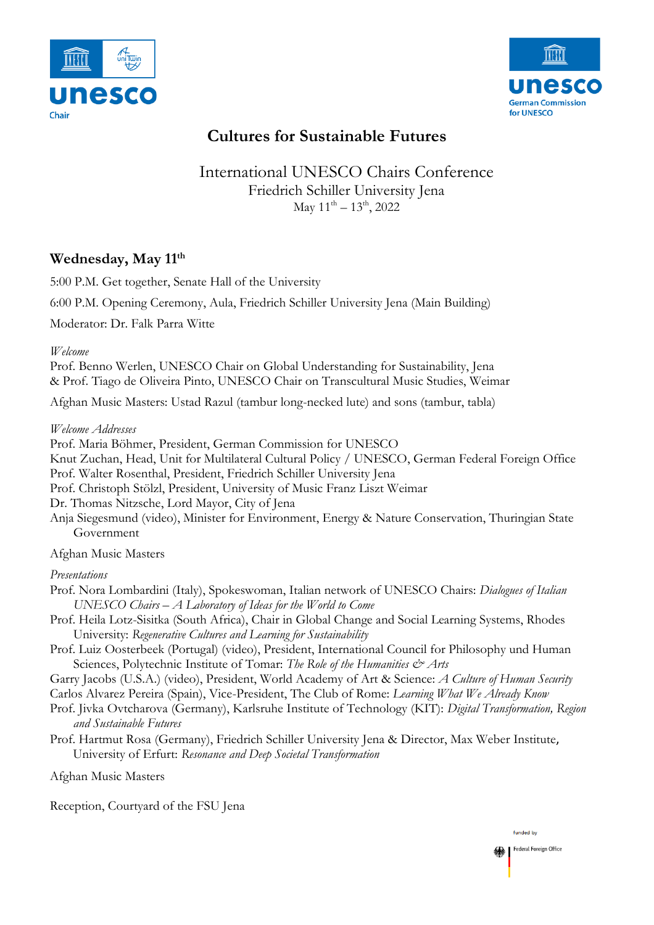



# **Cultures for Sustainable Futures**

## International UNESCO Chairs Conference Friedrich Schiller University Jena  $\text{May } 11^{\text{th}} - 13^{\text{th}}$ , 2022

### **Wednesday, May 11th**

5:00 P.M. Get together, Senate Hall of the University

6:00 P.M. Opening Ceremony, Aula, Friedrich Schiller University Jena (Main Building)

Moderator: Dr. Falk Parra Witte

*Welcome*

Prof. Benno Werlen, UNESCO Chair on Global Understanding for Sustainability, Jena & Prof. Tiago de Oliveira Pinto, UNESCO Chair on Transcultural Music Studies, Weimar

Afghan Music Masters: Ustad Razul (tambur long-necked lute) and sons (tambur, tabla)

*Welcome Addresses*

Prof. Maria Böhmer, President, German Commission for UNESCO

Knut Zuchan, Head, Unit for Multilateral Cultural Policy / UNESCO, German Federal Foreign Office Prof. Walter Rosenthal, President, Friedrich Schiller University Jena

Prof. Christoph Stölzl, President, University of Music Franz Liszt Weimar

Dr. Thomas Nitzsche, Lord Mayor, City of Jena

Anja Siegesmund (video), Minister for Environment, Energy & Nature Conservation, Thuringian State Government

Afghan Music Masters

*Presentations*

- Prof. Nora Lombardini (Italy), Spokeswoman, Italian network of UNESCO Chairs: *Dialogues of Italian UNESCO Chairs – A Laboratory of Ideas for the World to Come*
- Prof. Heila Lotz-Sisitka (South Africa), Chair in Global Change and Social Learning Systems, Rhodes University: *Regenerative Cultures and Learning for Sustainability*
- Prof. Luiz Oosterbeek (Portugal) (video), President, International Council for Philosophy und Human Sciences, Polytechnic Institute of Tomar: *The Role of the Humanities & Arts*

Garry Jacobs (U.S.A.) (video), President, World Academy of Art & Science: *A Culture of Human Security*

- Carlos Alvarez Pereira (Spain), Vice-President, The Club of Rome: *Learning What We Already Know*
- Prof. Jivka Ovtcharova (Germany), Karlsruhe Institute of Technology (KIT): *Digital Transformation, Region and Sustainable Futures*
- Prof. Hartmut Rosa (Germany), Friedrich Schiller University Jena & Director, Max Weber Institute, University of Erfurt: *Resonance and Deep Societal Transformation*

Afghan Music Masters

Reception, Courtyard of the FSU Jena

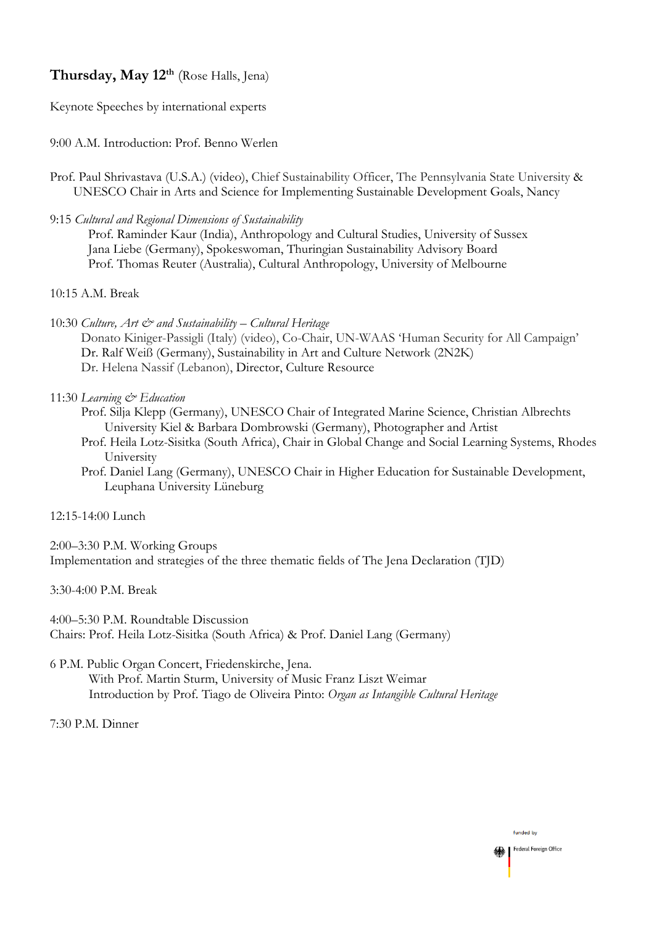### **Thursday, May 12th** (Rose Halls, Jena)

Keynote Speeches by international experts

### 9:00 A.M. Introduction: Prof. Benno Werlen

- Prof. Paul Shrivastava (U.S.A.) (video), Chief Sustainability Officer, The Pennsylvania State University & UNESCO Chair in Arts and Science for Implementing Sustainable Development Goals, Nancy
- 9:15 *Cultural and Regional Dimensions of Sustainability* Prof. Raminder Kaur (India), Anthropology and Cultural Studies, University of Sussex Jana Liebe (Germany), Spokeswoman, Thuringian Sustainability Advisory Board Prof. Thomas Reuter (Australia), Cultural Anthropology, University of Melbourne

### 10:15 A.M. Break

10:30 *Culture, Art & and Sustainability – Cultural Heritage*

Donato Kiniger-Passigli (Italy) (video), Co-Chair, UN-WAAS 'Human Security for All Campaign' Dr. Ralf Weiß (Germany), Sustainability in Art and Culture Network (2N2K) Dr. Helena Nassif (Lebanon), Director, Culture Resource

#### 11:30 *Learning & Education*

- Prof. Silja Klepp (Germany), UNESCO Chair of Integrated Marine Science, Christian Albrechts University Kiel & Barbara Dombrowski (Germany), Photographer and Artist
- Prof. Heila Lotz-Sisitka (South Africa), Chair in Global Change and Social Learning Systems, Rhodes University
- Prof. Daniel Lang (Germany), UNESCO Chair in Higher Education for Sustainable Development, Leuphana University Lüneburg

### 12:15-14:00 Lunch

2:00–3:30 P.M. Working Groups Implementation and strategies of the three thematic fields of The Jena Declaration (TJD)

3:30-4:00 P.M. Break

4:00–5:30 P.M. Roundtable Discussion Chairs: Prof. Heila Lotz-Sisitka (South Africa) & Prof. Daniel Lang (Germany)

6 P.M. Public Organ Concert, Friedenskirche, Jena.

With Prof. Martin Sturm, University of Music Franz Liszt Weimar Introduction by Prof. Tiago de Oliveira Pinto: *Organ as Intangible Cultural Heritage*

7:30 P.M. Dinner

#### funded by Federal Foreign Office